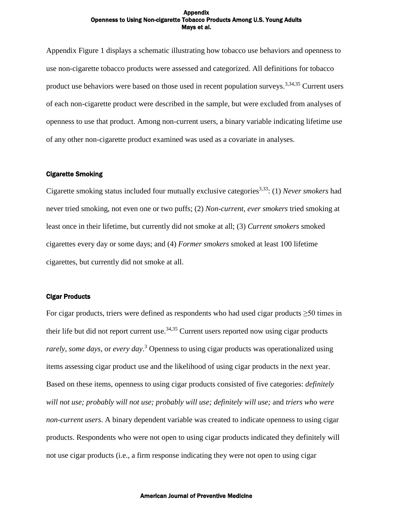Appendix Figure 1 displays a schematic illustrating how tobacco use behaviors and openness to use non-cigarette tobacco products were assessed and categorized. All definitions for tobacco product use behaviors were based on those used in recent population surveys.<sup>3,34,35</sup> Current users of each non-cigarette product were described in the sample, but were excluded from analyses of openness to use that product. Among non-current users, a binary variable indicating lifetime use of any other non-cigarette product examined was used as a covariate in analyses.

# Cigarette Smoking

Cigarette smoking status included four mutually exclusive categories<sup>3,33</sup>: (1) *Never smokers* had never tried smoking, not even one or two puffs; (2) *Non-current, ever smokers* tried smoking at least once in their lifetime, but currently did not smoke at all; (3) *Current smokers* smoked cigarettes every day or some days; and (4) *Former smokers* smoked at least 100 lifetime cigarettes, but currently did not smoke at all.

# Cigar Products

For cigar products, triers were defined as respondents who had used cigar products ≥50 times in their life but did not report current use.<sup>34,35</sup> Current users reported now using cigar products *rarely, some days*, or *every day*. <sup>3</sup> Openness to using cigar products was operationalized using items assessing cigar product use and the likelihood of using cigar products in the next year. Based on these items, openness to using cigar products consisted of five categories: *definitely will not use; probably will not use; probably will use; definitely will use;* and *triers who were non-current users*. A binary dependent variable was created to indicate openness to using cigar products. Respondents who were not open to using cigar products indicated they definitely will not use cigar products (i.e., a firm response indicating they were not open to using cigar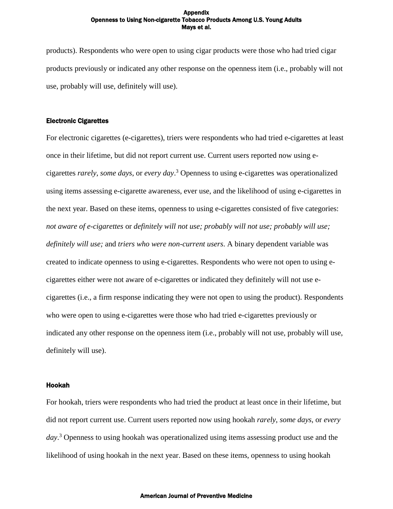products). Respondents who were open to using cigar products were those who had tried cigar products previously or indicated any other response on the openness item (i.e., probably will not use, probably will use, definitely will use).

## Electronic Cigarettes

For electronic cigarettes (e-cigarettes), triers were respondents who had tried e-cigarettes at least once in their lifetime, but did not report current use. Current users reported now using ecigarettes *rarely*, *some days*, or *every day*. <sup>3</sup> Openness to using e-cigarettes was operationalized using items assessing e-cigarette awareness, ever use, and the likelihood of using e-cigarettes in the next year. Based on these items, openness to using e-cigarettes consisted of five categories: *not aware of e-cigarettes* or *definitely will not use; probably will not use; probably will use; definitely will use;* and *triers who were non-current users*. A binary dependent variable was created to indicate openness to using e-cigarettes. Respondents who were not open to using ecigarettes either were not aware of e-cigarettes or indicated they definitely will not use ecigarettes (i.e., a firm response indicating they were not open to using the product). Respondents who were open to using e-cigarettes were those who had tried e-cigarettes previously or indicated any other response on the openness item (i.e., probably will not use, probably will use, definitely will use).

## Hookah

For hookah, triers were respondents who had tried the product at least once in their lifetime, but did not report current use. Current users reported now using hookah *rarely*, *some days*, or *every day*. <sup>3</sup> Openness to using hookah was operationalized using items assessing product use and the likelihood of using hookah in the next year. Based on these items, openness to using hookah

### American Journal of Preventive Medicine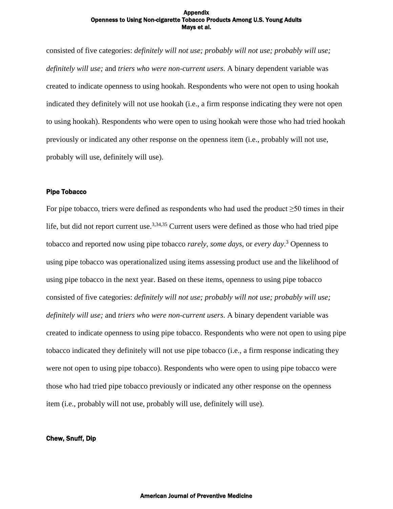consisted of five categories: *definitely will not use; probably will not use; probably will use; definitely will use;* and *triers who were non-current users*. A binary dependent variable was created to indicate openness to using hookah. Respondents who were not open to using hookah indicated they definitely will not use hookah (i.e., a firm response indicating they were not open to using hookah). Respondents who were open to using hookah were those who had tried hookah previously or indicated any other response on the openness item (i.e., probably will not use, probably will use, definitely will use).

## Pipe Tobacco

For pipe tobacco, triers were defined as respondents who had used the product  $\geq 50$  times in their life, but did not report current use.<sup>3,34,35</sup> Current users were defined as those who had tried pipe tobacco and reported now using pipe tobacco *rarely*, *some days*, or *every day*. <sup>3</sup> Openness to using pipe tobacco was operationalized using items assessing product use and the likelihood of using pipe tobacco in the next year. Based on these items, openness to using pipe tobacco consisted of five categories: *definitely will not use; probably will not use; probably will use; definitely will use;* and *triers who were non-current users*. A binary dependent variable was created to indicate openness to using pipe tobacco. Respondents who were not open to using pipe tobacco indicated they definitely will not use pipe tobacco (i.e., a firm response indicating they were not open to using pipe tobacco). Respondents who were open to using pipe tobacco were those who had tried pipe tobacco previously or indicated any other response on the openness item (i.e., probably will not use, probably will use, definitely will use).

# Chew, Snuff, Dip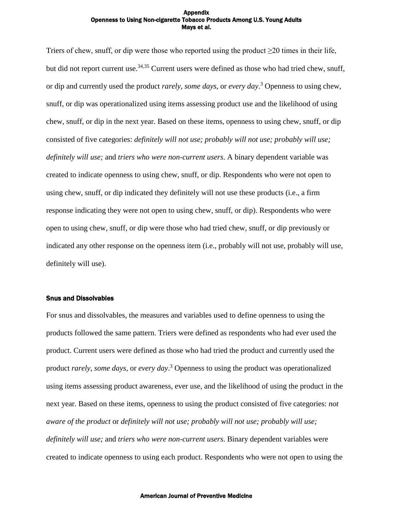Triers of chew, snuff, or dip were those who reported using the product ≥20 times in their life, but did not report current use.<sup>34,35</sup> Current users were defined as those who had tried chew, snuff, or dip and currently used the product *rarely*, *some days*, or *every day*. <sup>3</sup> Openness to using chew, snuff, or dip was operationalized using items assessing product use and the likelihood of using chew, snuff, or dip in the next year. Based on these items, openness to using chew, snuff, or dip consisted of five categories: *definitely will not use; probably will not use; probably will use; definitely will use;* and *triers who were non-current users*. A binary dependent variable was created to indicate openness to using chew, snuff, or dip. Respondents who were not open to using chew, snuff, or dip indicated they definitely will not use these products (i.e., a firm response indicating they were not open to using chew, snuff, or dip). Respondents who were open to using chew, snuff, or dip were those who had tried chew, snuff, or dip previously or indicated any other response on the openness item (i.e., probably will not use, probably will use, definitely will use).

# Snus and Dissolvables

For snus and dissolvables, the measures and variables used to define openness to using the products followed the same pattern. Triers were defined as respondents who had ever used the product. Current users were defined as those who had tried the product and currently used the product *rarely*, *some days*, or *every day*. <sup>3</sup> Openness to using the product was operationalized using items assessing product awareness, ever use, and the likelihood of using the product in the next year. Based on these items, openness to using the product consisted of five categories: *not aware of the product* or *definitely will not use; probably will not use; probably will use; definitely will use;* and *triers who were non-current users*. Binary dependent variables were created to indicate openness to using each product. Respondents who were not open to using the

### American Journal of Preventive Medicine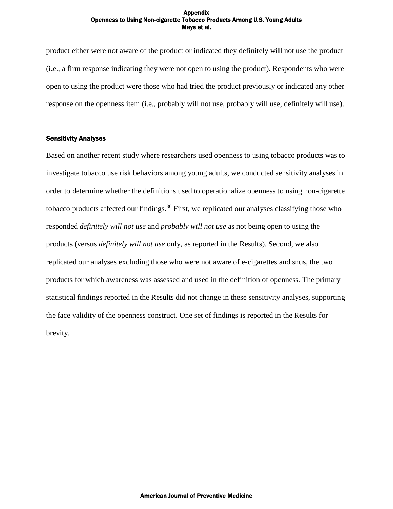product either were not aware of the product or indicated they definitely will not use the product (i.e., a firm response indicating they were not open to using the product). Respondents who were open to using the product were those who had tried the product previously or indicated any other response on the openness item (i.e., probably will not use, probably will use, definitely will use).

# Sensitivity Analyses

Based on another recent study where researchers used openness to using tobacco products was to investigate tobacco use risk behaviors among young adults, we conducted sensitivity analyses in order to determine whether the definitions used to operationalize openness to using non-cigarette tobacco products affected our findings.<sup>36</sup> First, we replicated our analyses classifying those who responded *definitely will not use* and *probably will not use* as not being open to using the products (versus *definitely will not use* only, as reported in the Results). Second, we also replicated our analyses excluding those who were not aware of e-cigarettes and snus, the two products for which awareness was assessed and used in the definition of openness. The primary statistical findings reported in the Results did not change in these sensitivity analyses, supporting the face validity of the openness construct. One set of findings is reported in the Results for brevity.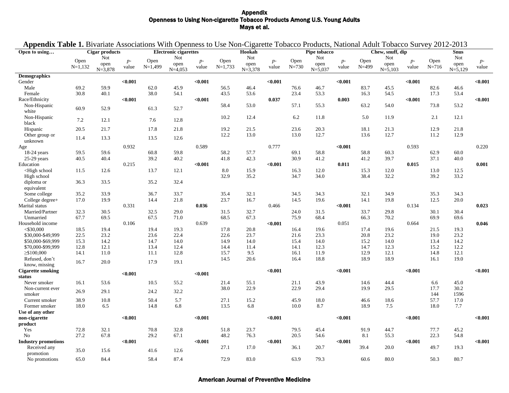|                                                                                                                                                                                                                                                 |           |                     |               |                              |                   |               |           |                     |               | Appendix Table 1. Bivariate Associations With Openness to Use Non-Cigarette Tobacco Products, National Adult Tobacco Survey 2012-2013 |                     |               |           |                     |               |           |                     |               |
|-------------------------------------------------------------------------------------------------------------------------------------------------------------------------------------------------------------------------------------------------|-----------|---------------------|---------------|------------------------------|-------------------|---------------|-----------|---------------------|---------------|---------------------------------------------------------------------------------------------------------------------------------------|---------------------|---------------|-----------|---------------------|---------------|-----------|---------------------|---------------|
| Open to using                                                                                                                                                                                                                                   |           | Cigar products      |               | <b>Electronic cigarettes</b> |                   |               | Hookah    |                     |               | Pipe tobacco                                                                                                                          |                     |               |           | Chew, snuff, dip    |               |           | <b>Snus</b>         |               |
|                                                                                                                                                                                                                                                 | Open      | Not                 |               | Open                         | Not               |               | Open      | Not                 |               | Open                                                                                                                                  | Not                 |               | Open      | Not                 |               | Open      | Not                 |               |
|                                                                                                                                                                                                                                                 | $N=1,132$ | open<br>$N = 3,878$ | $p-$<br>value | $N=1,499$                    | open<br>$N=4,053$ | $p-$<br>value | $N=1,733$ | open<br>$N = 3,378$ | $p-$<br>value | $N = 730$                                                                                                                             | open<br>$N = 5,037$ | $p-$<br>value | $N = 499$ | open<br>$N = 5,103$ | $p-$<br>value | $N = 716$ | open<br>$N = 5,129$ | $p-$<br>value |
| <b>Demographics</b>                                                                                                                                                                                                                             |           |                     |               |                              |                   |               |           |                     |               |                                                                                                                                       |                     |               |           |                     |               |           |                     |               |
| Gender                                                                                                                                                                                                                                          |           |                     | < 0.001       |                              |                   | < 0.001       |           |                     | $0.001$       |                                                                                                                                       |                     | < 0.001       |           |                     | < 0.001       |           |                     | < 0.001       |
| Male                                                                                                                                                                                                                                            | 69.2      | 59.9                |               | 62.0                         | 45.9              |               | 56.5      | 46.4                |               | 76.6                                                                                                                                  | 46.7                |               | 83.7      | 45.5                |               | 82.6      | 46.6                |               |
| Female                                                                                                                                                                                                                                          | 30.8      | 40.1                |               | 38.0                         | 54.1              |               | 43.5      | 53.6                |               | 23.4                                                                                                                                  | 53.3                |               | 16.3      | 54.5                |               | 17.3      | 53.4                |               |
| Race/Ethnicity                                                                                                                                                                                                                                  |           |                     | < 0.001       |                              |                   | < 0.001       |           |                     | 0.037         |                                                                                                                                       |                     | 0.003         |           |                     | < 0.001       |           |                     | < 0.001       |
| Non-Hispanic                                                                                                                                                                                                                                    |           |                     |               |                              |                   |               | 58.4      | 53.0                |               | 57.1                                                                                                                                  | 55.3                |               | 63.2      | 54.0                |               | 73.8      | 53.2                |               |
| white                                                                                                                                                                                                                                           | 60.9      | 52.9                |               | 61.3                         | 52.7              |               |           |                     |               |                                                                                                                                       |                     |               |           |                     |               |           |                     |               |
| Non-Hispanic                                                                                                                                                                                                                                    |           |                     |               |                              |                   |               | 10.2      | 12.4                |               | 6.2                                                                                                                                   | 11.8                |               | 5.0       | 11.9                |               | 2.1       | 12.1                |               |
| black                                                                                                                                                                                                                                           | 7.2       | 12.1                |               | 7.6                          | 12.8              |               |           |                     |               |                                                                                                                                       |                     |               |           |                     |               |           |                     |               |
| Hispanic                                                                                                                                                                                                                                        | 20.5      | 21.7                |               | 17.8                         | 21.8              |               | 19.2      | 21.5                |               | 23.6                                                                                                                                  | 20.3                |               | 18.1      | 21.3                |               | 12.9      | 21.8                |               |
| Other group or                                                                                                                                                                                                                                  |           |                     |               |                              |                   |               | 12.2      | 13.0                |               | 13.0                                                                                                                                  | 12.7                |               | 13.6      | 12.7                |               | 11.2      | 12.9                |               |
| unknown                                                                                                                                                                                                                                         | 11.4      | 13.3                |               | 13.5                         | 12.6              |               |           |                     |               |                                                                                                                                       |                     |               |           |                     |               |           |                     |               |
| Age                                                                                                                                                                                                                                             |           |                     | 0.932         |                              |                   | 0.589         |           |                     | 0.777         |                                                                                                                                       |                     | < 0.001       |           |                     | 0.593         |           |                     | 0.220         |
| 18-24 years                                                                                                                                                                                                                                     | 59.5      | 59.6                |               | 60.8                         | 59.8              |               | 58.2      | 57.7                |               | 69.1                                                                                                                                  | 58.8                |               | 58.8      | 60.3                |               | 62.9      | 60.0                |               |
| $25-29$ years                                                                                                                                                                                                                                   | 40.5      | 40.4                |               | 39.2                         | 40.2              |               | 41.8      | 42.3                |               | 30.9                                                                                                                                  | 41.2                |               | 41.2      | 39.7                |               | 37.1      | 40.0                |               |
| Education                                                                                                                                                                                                                                       |           |                     | 0.215         |                              |                   | < 0.001       |           |                     | < 0.001       |                                                                                                                                       |                     | 0.011         |           |                     | 0.015         |           |                     | 0.001         |
| <high school<="" td=""><td>11.5</td><td>12.6</td><td></td><td>13.7</td><td>12.1</td><td></td><td>8.0</td><td>15.9</td><td></td><td>16.3</td><td>12.0</td><td></td><td>15.3</td><td>12.0</td><td></td><td>13.0</td><td>12.5</td><td></td></high> | 11.5      | 12.6                |               | 13.7                         | 12.1              |               | 8.0       | 15.9                |               | 16.3                                                                                                                                  | 12.0                |               | 15.3      | 12.0                |               | 13.0      | 12.5                |               |
| High school                                                                                                                                                                                                                                     |           |                     |               |                              |                   |               | 32.9      | 35.2                |               | 34.7                                                                                                                                  | 34.0                |               | 38.4      | 32.2                |               | 39.2      | 33.2                |               |
| diploma or                                                                                                                                                                                                                                      | 36.3      | 33.5                |               | 35.2                         | 32.4              |               |           |                     |               |                                                                                                                                       |                     |               |           |                     |               |           |                     |               |
| equivalent                                                                                                                                                                                                                                      |           |                     |               |                              |                   |               |           |                     |               |                                                                                                                                       |                     |               |           |                     |               |           |                     |               |
| Some college                                                                                                                                                                                                                                    | 35.2      | 33.9                |               | 36.7                         | 33.7              |               | 35.4      | 32.1                |               | 34.5                                                                                                                                  | 34.3                |               | 32.1      | 34.9                |               | 35.3      | 34.3                |               |
| College degree+                                                                                                                                                                                                                                 | 17.0      | 19.9                |               | 14.4                         | 21.8              |               | 23.7      | 16.7                |               | 14.5                                                                                                                                  | 19.6                |               | 14.1      | 19.8                |               | 12.5      | 20.0                |               |
| Marital status                                                                                                                                                                                                                                  |           |                     | 0.331         |                              |                   | 0.036         |           |                     | 0.466         |                                                                                                                                       |                     | < 0.001       |           |                     | 0.134         |           |                     | 0.023         |
| Married/Partner                                                                                                                                                                                                                                 | 32.3      | 30.5                |               | 32.5                         | 29.0              |               | 31.5      | 32.7                |               | 24.0                                                                                                                                  | 31.5                |               | 33.7      | 29.8                |               | 30.1      | 30.4                |               |
| Unmarried                                                                                                                                                                                                                                       | 67.7      | 69.5                |               | 67.5                         | 71.0              |               | 68.5      | 67.3                |               | 75.9                                                                                                                                  | 68.4                |               | 66.3      | 70.2                |               | 69.9      | 69.6                |               |
| Household income                                                                                                                                                                                                                                |           |                     | 0.106         |                              |                   | 0.639         |           |                     | < 0.001       |                                                                                                                                       |                     | 0.051         |           |                     | 0.664         |           |                     | 0.046         |
| $<$ \$30,000                                                                                                                                                                                                                                    | 18.5      | 19.4                |               | 19.4                         | 19.3              |               | 17.8      | 20.8                |               | 16.4                                                                                                                                  | 19.6                |               | 17.4      | 19.6                |               | 21.5      | 19.3                |               |
| \$30,000-\$49,999                                                                                                                                                                                                                               | 22.5      | 23.2                |               | 23.6                         | 22.4              |               | 22.6      | 23.7                |               | 21.6                                                                                                                                  | 23.3                |               | 20.8      | 23.2                |               | 19.0      | 23.2                |               |
| \$50,000-\$69,999                                                                                                                                                                                                                               | 15.3      | 14.2                |               | 14.7                         | 14.0              |               | 14.9      | 14.0                |               | 15.4                                                                                                                                  | 14.0                |               | 15.2      | 14.0                |               | 13.4      | 14.2                |               |
| \$70,000-\$99,999                                                                                                                                                                                                                               | 12.8      | 12.1                |               | 13.4                         | 12.4              |               | 14.4      | 11.4                |               | 14.1                                                                                                                                  | 12.3                |               | 14.7      | 12.3                |               | 15.2      | 12.2                |               |
| $\geq$ \$100,000                                                                                                                                                                                                                                | 14.1      | 11.0                |               | 11.1                         | 12.8              |               | 15.7      | 9.5                 |               | 16.1                                                                                                                                  | 11.9                |               | 12.9      | 12.1                |               | 14.8      | 12.1                |               |
| Refused, don't                                                                                                                                                                                                                                  |           |                     |               |                              |                   |               | 14.5      | 20.6                |               | 16.4                                                                                                                                  | 18.8                |               | 18.9      | 18.9                |               | 16.1      | 19.0                |               |
| know, missing                                                                                                                                                                                                                                   | 16.7      | 20.0                |               | 17.9                         | 19.1              |               |           |                     |               |                                                                                                                                       |                     |               |           |                     |               |           |                     |               |
| <b>Cigarette smoking</b>                                                                                                                                                                                                                        |           |                     |               |                              |                   |               |           |                     | $0.001$       |                                                                                                                                       |                     | < 0.001       |           |                     | < 0.001       |           |                     | < 0.001       |
| status                                                                                                                                                                                                                                          |           |                     | $0.001$       |                              |                   | < 0.001       |           |                     |               |                                                                                                                                       |                     |               |           |                     |               |           |                     |               |
| Never smoker                                                                                                                                                                                                                                    | 16.1      | 53.6                |               | 10.5                         | 55.2              |               | 21.4      | 55.1                |               | 21.1                                                                                                                                  | 43.9                |               | 14.6      | 44.4                |               | 6.6       | 45.0                |               |
| Non-current ever                                                                                                                                                                                                                                |           |                     |               |                              |                   |               | 38.0      | 22.9                |               | 22.9                                                                                                                                  | 29.4                |               | 19.9      | 29.5                |               | 17.7      | 30.2                |               |
| smoker                                                                                                                                                                                                                                          | 26.9      | 29.1                |               | 24.2                         | 32.2              |               |           |                     |               |                                                                                                                                       |                     |               |           |                     |               | 144       | 1596                |               |
| Current smoker                                                                                                                                                                                                                                  | 38.9      | 10.8                |               | 50.4                         | 5.7               |               | 27.1      | 15.2                |               | 45.9                                                                                                                                  | 18.0                |               | 46.6      | 18.6                |               | 57.7      | 17.0                |               |
| Former smoker                                                                                                                                                                                                                                   | 18.0      | 6.5                 |               | 14.8                         | 6.8               |               | 13.5      | 6.8                 |               | 10.0                                                                                                                                  | 8.7                 |               | 18.9      | 7.5                 |               | 18.0      | 7.7                 |               |
| Use of any other                                                                                                                                                                                                                                |           |                     |               |                              |                   |               |           |                     |               |                                                                                                                                       |                     |               |           |                     |               |           |                     |               |
| non-cigarette                                                                                                                                                                                                                                   |           |                     | < 0.001       |                              |                   | < 0.001       |           |                     | < 0.001       |                                                                                                                                       |                     | < 0.001       |           |                     | < 0.001       |           |                     | < 0.001       |
| product                                                                                                                                                                                                                                         |           |                     |               |                              |                   |               |           |                     |               |                                                                                                                                       |                     |               |           |                     |               |           |                     |               |
| Yes                                                                                                                                                                                                                                             | 72.8      | 32.1                |               | 70.8                         | 32.8              |               | 51.8      | 23.7                |               | 79.5                                                                                                                                  | 45.4                |               | 91.9      | 44.7                |               | 77.7      | 45.2                |               |
| N <sub>0</sub>                                                                                                                                                                                                                                  | 27.2      | 67.8                |               | 29.2                         | 67.1              |               | 48.2      | 76.3                |               | 20.5                                                                                                                                  | 54.6                |               | 8.1       | 55.3                |               | 22.3      | 54.8                |               |
| <b>Industry promotions</b>                                                                                                                                                                                                                      |           |                     | < 0.001       |                              |                   | < 0.001       |           |                     | < 0.001       |                                                                                                                                       |                     | < 0.001       |           |                     | < 0.001       |           |                     | < 0.001       |
| Received any                                                                                                                                                                                                                                    |           |                     |               |                              |                   |               | 27.1      | 17.0                |               | 36.1                                                                                                                                  | 20.7                |               | 39.4      | 20.0                |               | 49.7      | 19.3                |               |
| promotion                                                                                                                                                                                                                                       | 35.0      | 15.6                |               | 41.6                         | 12.6              |               |           |                     |               |                                                                                                                                       |                     |               |           |                     |               |           |                     |               |
| No promotions                                                                                                                                                                                                                                   | 65.0      | 84.4                |               | 58.4                         | 87.4              |               | 72.9      | 83.0                |               | 63.9                                                                                                                                  | 79.3                |               | 60.6      | 80.0                |               | 50.3      | 80.7                |               |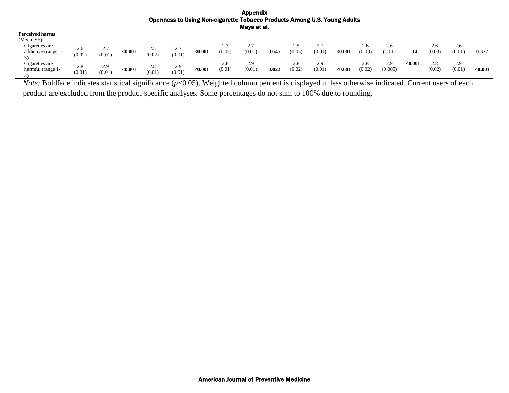| <b>Perceived harms</b> |        |               |         |                |                 |         |                          |          |       |        |        |         |        |         |         |        |        |         |
|------------------------|--------|---------------|---------|----------------|-----------------|---------|--------------------------|----------|-------|--------|--------|---------|--------|---------|---------|--------|--------|---------|
| (Mean, SE)             |        |               |         |                |                 |         |                          |          |       |        |        |         |        |         |         |        |        |         |
| Cigarettes are         | 2.6    | 27            |         |                |                 |         | າ າ<br>$\mathcal{L}$ . I | ົ<br>۷., |       | ر. ت   |        |         | 2.6    | 2.6     |         | 2.6    | 2.6    |         |
| addictive (range 1-    | (0.02) | ، ،<br>(0.01) | < 0.001 | ر. ے<br>(0.02) | ، ، ،<br>(0.01) | < 0.001 | (0.02)                   | (0.01)   | 0.645 | (0.03) | (0.01) | < 0.001 | (0.03) | (0.01)  | .114    | (0.03) | (0.01) | 0.322   |
| Cigarettes are         | 2.8    | 2.9           |         | 2.8            | 2.9             |         | 2.8                      | 2.9      |       | 2.8    | 2.9    |         | 2.8    | 2.9     | < 0.001 | 2.8    | 2.9    |         |
| harmful (range 1-      | (0.01) | (0.01)        | < 0.001 | (0.01)         | (0.01)          | < 0.001 | (0.01)                   | (0.01)   | 0.022 | (0.02) | (0.01) | <0.001  | (0.02) | (0.005) |         | (0.02) | (0.01) | < 0.001 |
|                        |        |               |         |                |                 |         |                          |          |       |        |        |         |        |         |         |        |        |         |

*Note:* Boldface indicates statistical significance (*p*<0.05). Weighted column percent is displayed unless otherwise indicated. Current users of each product are excluded from the product-specific analyses. Some percentages do not sum to 100% due to rounding.